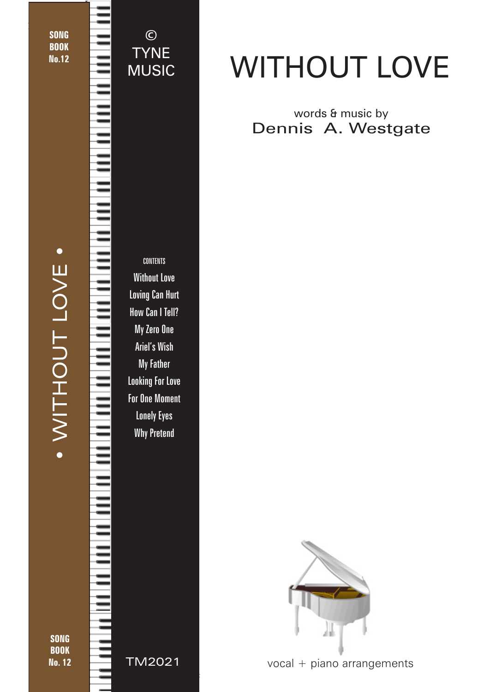**SONG** BOOK No.12

1

CONTENTS Without Love Loving Can Hurt How Can I Tell? My Zero One Ariel's Wish My Father Looking For Love For One Moment Lonely Eyes Why Pretend © TYNE MUSIC

TM2021

# WITHOUT LOVE

### words & music by Dennis A. Westgate



vocal + piano arrangements

© 2019 - Without Love - TYNE MUSIC - tynemusiclimited@gmail.com

**SONG BOOK** No. 12

• WITHOUT LOVE •

· WITHOUT LOVE ·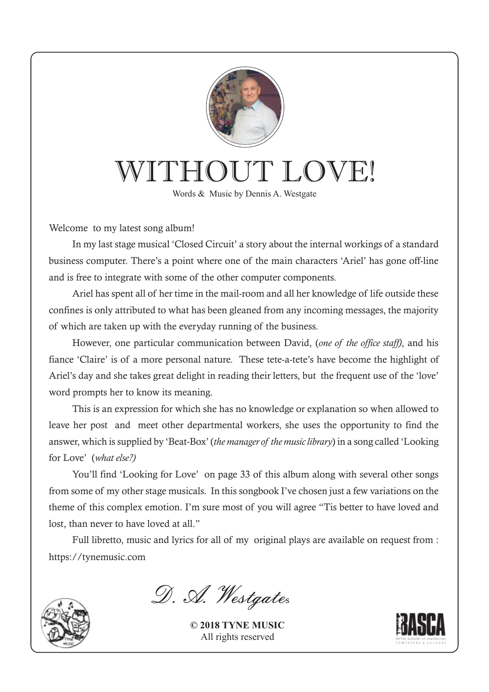

## WITHOUT LOVE!

Words & Music by Dennis A. Westgate

Welcome to my latest song album!

In my last stage musical 'Closed Circuit' a story about the internal workings of a standard business computer. There's a point where one of the main characters 'Ariel' has gone off-line and is free to integrate with some of the other computer components.

Ariel has spent all of her time in the mail-room and all her knowledge of life outside these confines is only attributed to what has been gleaned from any incoming messages, the majority of which are taken up with the everyday running of the business.

However, one particular communication between David, (*one of the office staff)*, and his fiance 'Claire' is of a more personal nature. These tete-a-tete's have become the highlight of Ariel's day and she takes great delight in reading their letters, but the frequent use of the 'love' word prompts her to know its meaning.

This is an expression for which she has no knowledge or explanation so when allowed to leave her post and meet other departmental workers, she uses the opportunity to find the answer, which is supplied by 'Beat-Box' (*the manager of the music library*) in a song called 'Looking for Love' (*what else?)*

You'll find 'Looking for Love' on page 33 of this album along with several other songs from some of my other stage musicals. In this songbook I've chosen just a few variations on the theme of this complex emotion. I'm sure most of you will agree "Tis better to have loved and lost, than never to have loved at all."

Full libretto, music and lyrics for all of my original plays are available on request from : https://tynemusic.com



D. A. Westgates

**© 2018 TYNE MUSIC** All rights reserved

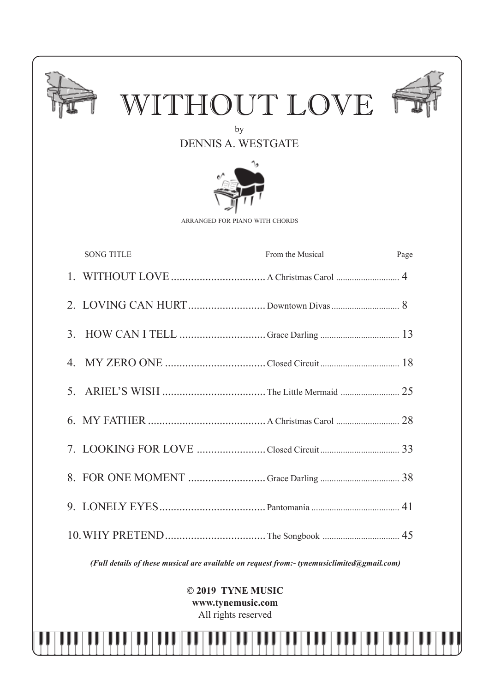

*(Full details of these musical are available on request from:- tynemusiclimited@gmail.com)*

**© 2019 TYNE MUSIC www.tynemusic.com** All rights reserved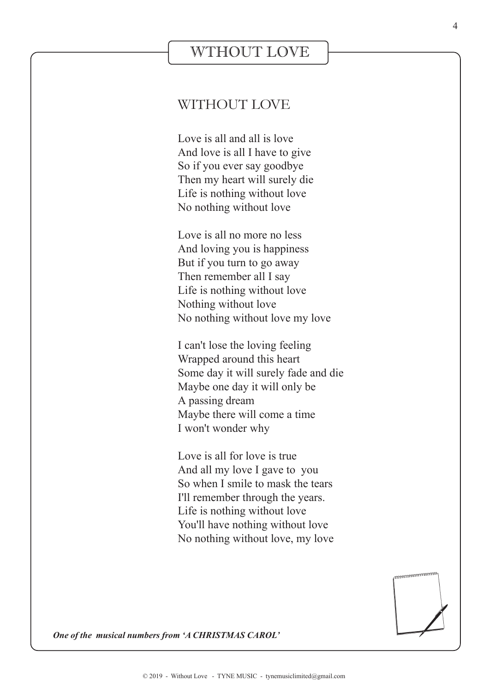### WTHOUT LOVE

#### WITHOUT LOVE

Love is all and all is love And love is all I have to give So if you ever say goodbye Then my heart will surely die Life is nothing without love No nothing without love

Love is all no more no less And loving you is happiness But if you turn to go away Then remember all I say Life is nothing without love Nothing without love No nothing without love my love

I can't lose the loving feeling Wrapped around this heart Some day it will surely fade and die Maybe one day it will only be A passing dream Maybe there will come a time I won't wonder why

Love is all for love is true And all my love I gave to you So when I smile to mask the tears I'll remember through the years. Life is nothing without love You'll have nothing without love No nothing without love, my love



*One of the musical numbers from 'A CHRISTMAS CAROL'*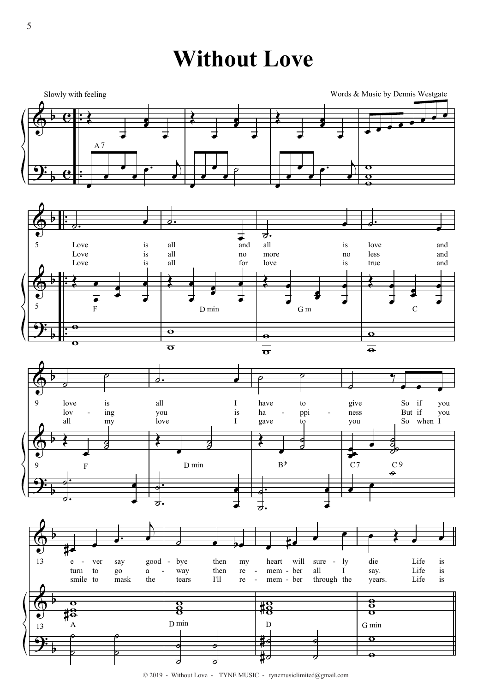**Without Love** 









 $© 2019$  - Without Love - TYNE MUSIC - tynemusic limited@gmail.com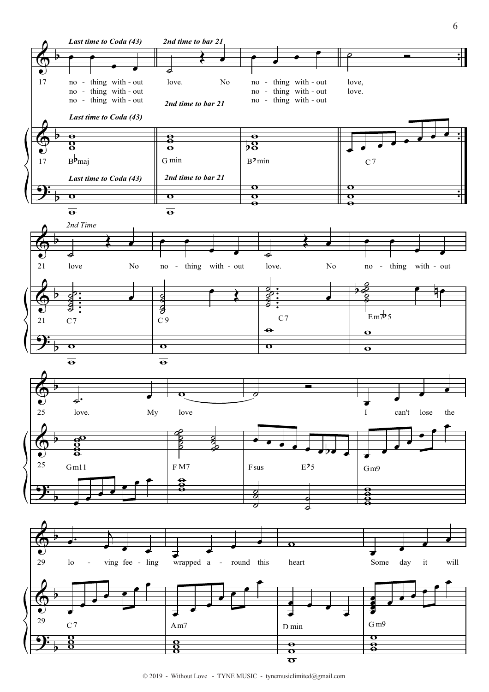